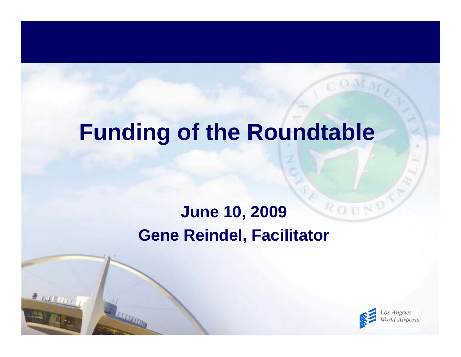## **Funding of the Roundtable**

#### ROUN **June 10, 2009 Gene Reindel, Facilitator**

 $200000$ 

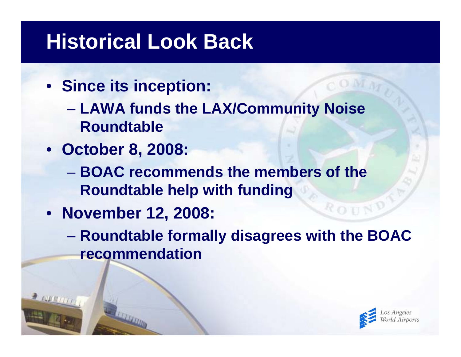## **Historical Look Back**

- **Since its inception:**
	- $\mathcal{L}_{\mathcal{A}}$  , and the set of the set of the set of the set of the set of the set of the set of the set of the set of the set of the set of the set of the set of the set of the set of the set of the set of the set of th **LAWA funds the LAX/Community Noise Roundtable**
- **October 8, 2008:**
	- **BOAC recommends the members of the Roundtable help with funding**
- **November 12, 2008:**
	- $\mathcal{L}_{\mathcal{A}}$  , and the set of the set of the set of the set of the set of the set of the set of the set of the set of the set of the set of the set of the set of the set of the set of the set of the set of the set of th **Roundtable formally disagrees with the BOAC recommendation**

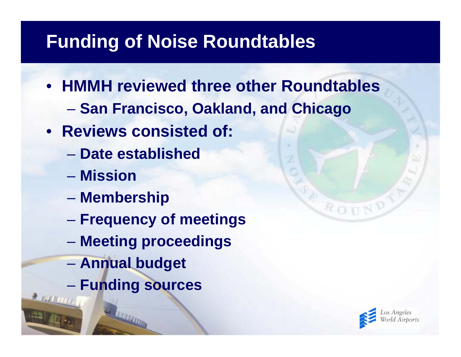- **HMMH reviewed three other Roundtables**
	- $\mathcal{L}_{\mathcal{A}}$  , and the set of the set of the set of the set of the set of the set of the set of the set of the set of the set of the set of the set of the set of the set of the set of the set of the set of the set of th **San Francisco, Oakland, and Chicago**
- **Reviews consisted of:**
	- **Date established**
	- **Mission**
	- $\mathcal{L}_{\mathcal{A}}$  , and the set of the set of the set of the set of the set of the set of the set of the set of the set of the set of the set of the set of the set of the set of the set of the set of the set of the set of th **Membership**
	- $\mathcal{L}_{\mathcal{A}}$  , and the set of the set of the set of the set of the set of the set of the set of the set of the set of the set of the set of the set of the set of the set of the set of the set of the set of the set of th **Frequency of meetings**
	- $\mathcal{L}_{\mathcal{A}}$  , and the set of the set of the set of the set of the set of the set of the set of the set of the set of the set of the set of the set of the set of the set of the set of the set of the set of the set of th **Meeting proceedings**
	- $\mathcal{L}_{\mathcal{A}}$  , and the set of the set of the set of the set of the set of the set of the set of the set of the set of the set of the set of the set of the set of the set of the set of the set of the set of the set of th **Annual budget**
	- $\mathcal{L}_{\mathcal{A}}$  , and the set of the set of the set of the set of the set of the set of the set of the set of the set of the set of the set of the set of the set of the set of the set of the set of the set of the set of th **Funding sources**



ROU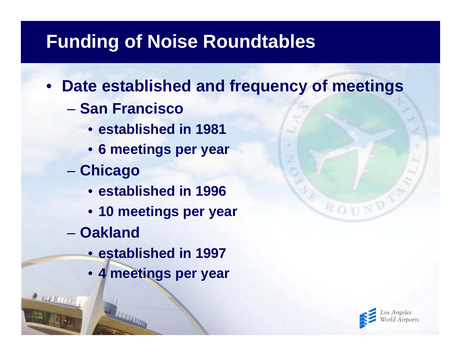- **Date established and frequency of meetings**
	- **San Francisco** 
		- **established in 1981**
		- **6 meetings per year**
	- $\mathcal{L}_{\mathcal{A}}$  , and the set of the set of the set of the set of the set of the set of the set of the set of the set of the set of the set of the set of the set of the set of the set of the set of the set of the set of th **Chicago**
		- **established in 1996**
		- **10 meetings per year**
	- **Oakland**
		- **established in 1997**
		- **4 meetings per year**



ROUN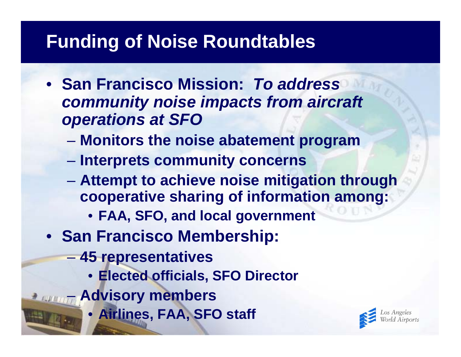- **San Francisco Mission:** *To address community noise impacts from aircraft operations at SFO*
	- $\mathcal{L}_{\mathcal{A}}$  , and the set of the set of the set of the set of the set of the set of the set of the set of the set of the set of the set of the set of the set of the set of the set of the set of the set of the set of th **Monitors the noise abatement program**
	- **Interprets community concerns**
	- $\mathcal{L}_{\mathcal{A}}$  , and the set of the set of the set of the set of the set of the set of the set of the set of the set of the set of the set of the set of the set of the set of the set of the set of the set of the set of th **Attempt to achieve noise mitigation through cooperative sharing of information among:**
		- **FAA, SFO, and local government**
- **San Francisco Membership:**
	- $\mathcal{L}_{\mathcal{A}}$  , and the set of the set of the set of the set of the set of the set of the set of the set of the set of the set of the set of the set of the set of the set of the set of the set of the set of the set of th **45 representatives**
		- **Elected officials, SFO Director**
	- **Advisory members**
		- **Airlines, FAA, SFO staff**

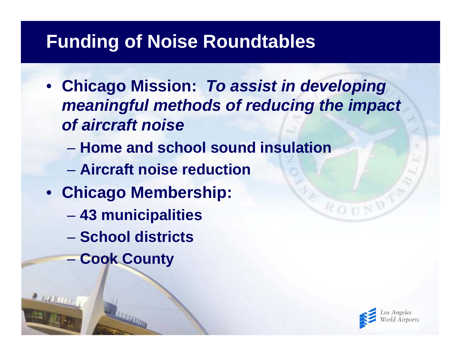- **Chicago Mission:** *To assist in developing meaningful methods of reducing the impact of aircraft noise*
	- **Home and school sound insulation**
	- **Aircraft noise reduction**
- **Chicago Membership:**
	- $\mathcal{L}_{\mathcal{A}}$  , and the set of the set of the set of the set of the set of the set of the set of the set of the set of the set of the set of the set of the set of the set of the set of the set of the set of the set of th **43 municipalities**
	- **School districts**
	- $\mathcal{L}_{\mathcal{A}}$  , and the set of the set of the set of the set of the set of the set of the set of the set of the set of the set of the set of the set of the set of the set of the set of the set of the set of the set of th **Cook County**



ROU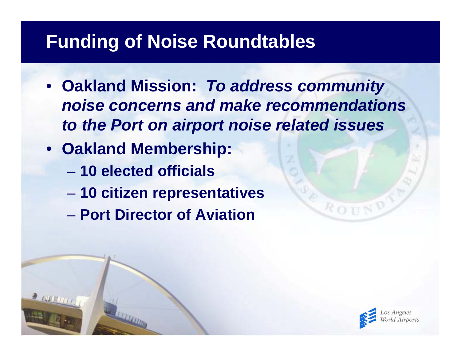- **Oakland Mission:** *To address community noise concerns and make recommendations to the Port on airport noise related issues*
- **Oakland Membership:**
	- **10 elected officials**
	- $\mathcal{L}_{\mathcal{A}}$  , and the set of the set of the set of the set of the set of the set of the set of the set of the set of the set of the set of the set of the set of the set of the set of the set of the set of the set of th **10 citizen representatives**
	- **Port Director of Aviation**



ROU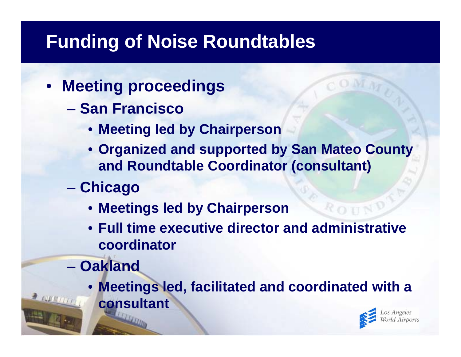- **Meeting proceedings**
	- **San Francisco**
		- **Meeting led by Chairperson**
		- **Organized and supported by San Mateo County and Roundtable Coordinator (consultant)**
	- $\mathcal{L}_{\mathcal{A}}$  , and the set of the set of the set of the set of the set of the set of the set of the set of the set of the set of the set of the set of the set of the set of the set of the set of the set of the set of th **Chicago**
		- **Meetings led by Chairperson**
		- **Full time executive director and administrative coordinator**
	- **Oakland**
		- **Meetings led, facilitated and coordinated with a consultant**

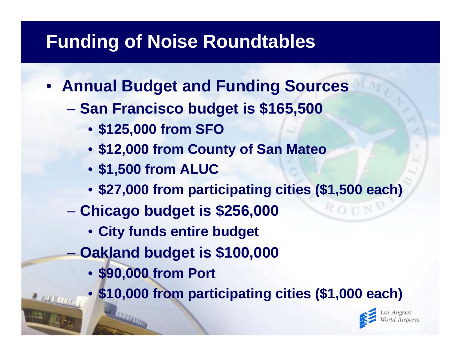- **Annual Budget and Funding Sources**
	- $\mathcal{L}_{\mathcal{A}}$  , and the set of the set of the set of the set of the set of the set of the set of the set of the set of the set of the set of the set of the set of the set of the set of the set of the set of the set of th **San Francisco budget is \$165,500**
		- **\$125,000 from SFO**
		- **\$12,000 from County of San Mateo**
		- **\$1,500 from ALUC**
		- **\$27,000 from participating cities (\$1,500 each)**
	- $\mathcal{L}_{\mathcal{A}}$  , and the set of the set of the set of the set of the set of the set of the set of the set of the set of the set of the set of the set of the set of the set of the set of the set of the set of the set of th **Chicago budget is \$256,000**
		- **City funds entire budget**
	- $\mathcal{L}_{\mathcal{A}}$  , and the set of the set of the set of the set of the set of the set of the set of the set of the set of the set of the set of the set of the set of the set of the set of the set of the set of the set of th **Oakland budget is \$100,000**
		- **\$90,000 from Port**
		- **\$10,000 from participating cities (\$1,000 each)**

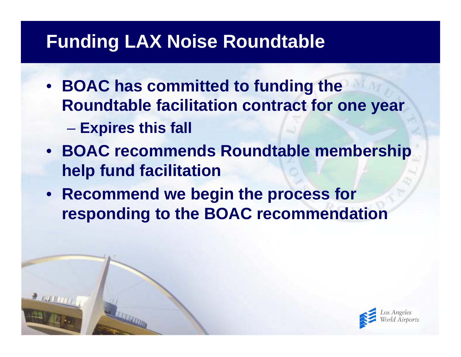#### **Funding LAX Noise Roundtable**

- **BOAC has committed to funding the Roundtable facilitation contract for one year**
	- $\mathcal{L}_{\mathcal{A}}$  , and the set of  $\mathcal{L}_{\mathcal{A}}$ **Expires this fall**
- **BOAC recommends Roundtable membership help fund facilitation**
- **Recommend we begin the process for responding to the BOAC recommendation**